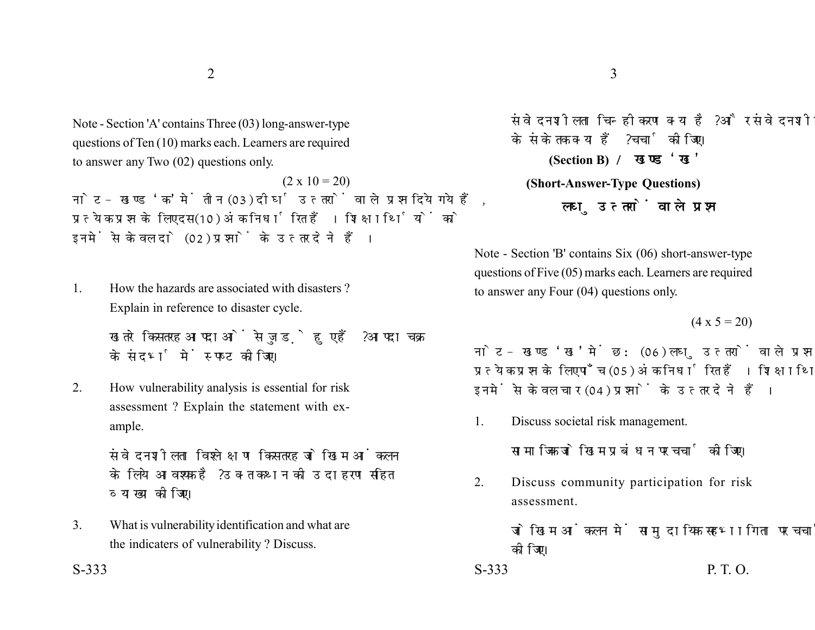Note - Section 'A' contains Three (03) long-answer-type questions of Ten (10) marks each. Learners are required to answer any Two (02) questions only.

 $(2 \times 10 = 20)$ नोट- खण्ड 'क' में तीन (03) दीर्घ उत्तरों वाले प्रश्न दिये गये हैं. प्रत्येक प्रश्न के लिए दस (10) अंक निर्धारित हैं। शिक्षार्थियों को इनमें से केवल दो (02) प्रश्नों के उत्तर देने हैं।

1. How the hazards are associated with disasters ? Explain in reference to disaster cycle.

> खतरे किस तरह आपदाओं से जुड़े हुए हैं ? आपदा चक्र के संदर्भ में स्पष्ट कीजिए।

2. How vulnerability analysis is essential for risk assessment ? Explain the statement with example.

> संवेदनशीलता विश्लेक्षण किस तरह जोखिम आंकलन के लिये आवश्यक है ? उक्त कथन की उदाहरण सहित व्याख्या कीजिए।

3. What is vulnerability identification and what are the indicaters of vulnerability ? Discuss.

संवेदनशीलता चिन्हीकरण क्या है? और संवेदनशीलता के संकेतक क्या हैं ? चर्चा कोजिए। **(Section B) (Short-Answer-Type Questions)** लघ उत्तरों वाले प्रश्न

Note - Section 'B' contains Six (06) short-answer-type questions of Five (05) marks each. Learners are required to answer any Four (04) questions only.

 $(4 \times 5 = 20)$ 

नोट- खण्ड 'ख' में छ: (06) लघु उत्तरों वाले प्रश्न दिये गये हैं, प्रत्येक प्रश्न के लिए पाँच (05) अंक निर्धारित हैं। शिक्षार्थियों को इनमें से केवल चार (04) प्रश्नों के उत्तर देने हैं।

1. Discuss societal risk management.

सामाजिक जोखिम प्रबंधन पर चर्चा कोजिए।

2. Discuss community participation for risk assessment.

> जोखिम आंकलन में सामदायिक सहभागिता पर चर्चा कोजिए।

 $S-333$  P. T. O.